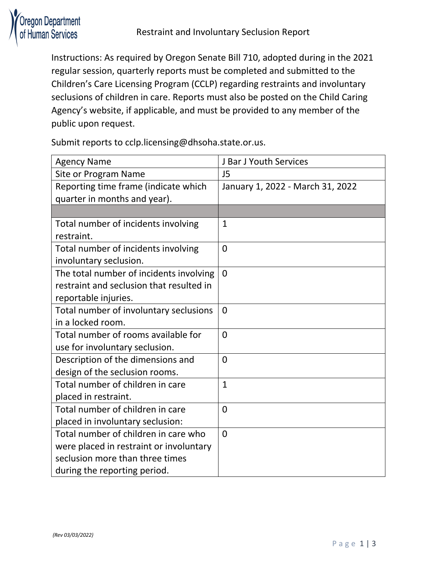

Instructions: As required by Oregon Senate Bill 710, adopted during in the 2021 regular session, quarterly reports must be completed and submitted to the Children's Care Licensing Program (CCLP) regarding restraints and involuntary seclusions of children in care. Reports must also be posted on the Child Caring Agency's website, if applicable, and must be provided to any member of the public upon request.

Submit reports to cclp.licensing@dhsoha.state.or.us.

| <b>Agency Name</b>                       | J Bar J Youth Services           |
|------------------------------------------|----------------------------------|
| Site or Program Name                     | J <sub>5</sub>                   |
| Reporting time frame (indicate which     | January 1, 2022 - March 31, 2022 |
| quarter in months and year).             |                                  |
|                                          |                                  |
| Total number of incidents involving      | $\mathbf{1}$                     |
| restraint.                               |                                  |
| Total number of incidents involving      | $\overline{0}$                   |
| involuntary seclusion.                   |                                  |
| The total number of incidents involving  | $\overline{0}$                   |
| restraint and seclusion that resulted in |                                  |
| reportable injuries.                     |                                  |
| Total number of involuntary seclusions   | $\overline{0}$                   |
| in a locked room.                        |                                  |
| Total number of rooms available for      | $\overline{0}$                   |
| use for involuntary seclusion.           |                                  |
| Description of the dimensions and        | $\overline{0}$                   |
| design of the seclusion rooms.           |                                  |
| Total number of children in care         | $\mathbf{1}$                     |
| placed in restraint.                     |                                  |
| Total number of children in care         | 0                                |
| placed in involuntary seclusion:         |                                  |
| Total number of children in care who     | $\overline{0}$                   |
| were placed in restraint or involuntary  |                                  |
| seclusion more than three times          |                                  |
| during the reporting period.             |                                  |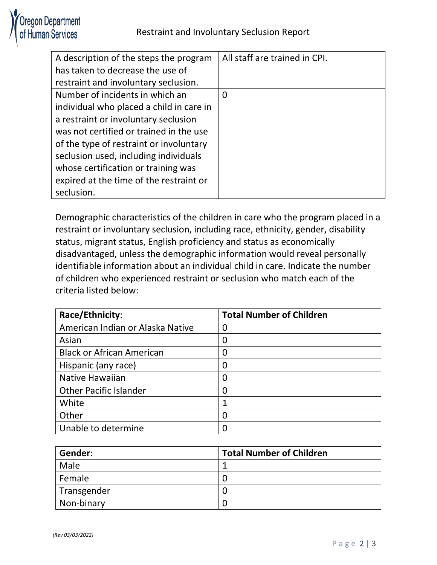

| A description of the steps the program   | All staff are trained in CPI. |
|------------------------------------------|-------------------------------|
| has taken to decrease the use of         |                               |
| restraint and involuntary seclusion.     |                               |
| Number of incidents in which an          | $\Omega$                      |
| individual who placed a child in care in |                               |
| a restraint or involuntary seclusion     |                               |
| was not certified or trained in the use  |                               |
| of the type of restraint or involuntary  |                               |
| seclusion used, including individuals    |                               |
| whose certification or training was      |                               |
| expired at the time of the restraint or  |                               |
| seclusion.                               |                               |

Demographic characteristics of the children in care who the program placed in a restraint or involuntary seclusion, including race, ethnicity, gender, disability status, migrant status, English proficiency and status as economically disadvantaged, unless the demographic information would reveal personally identifiable information about an individual child in care. Indicate the number of children who experienced restraint or seclusion who match each of the criteria listed below:

| Race/Ethnicity:                  | <b>Total Number of Children</b> |
|----------------------------------|---------------------------------|
| American Indian or Alaska Native | 0                               |
| Asian                            | 0                               |
| <b>Black or African American</b> | 0                               |
| Hispanic (any race)              | 0                               |
| <b>Native Hawaiian</b>           | 0                               |
| <b>Other Pacific Islander</b>    | 0                               |
| White                            |                                 |
| Other                            | 0                               |
| Unable to determine              | 0                               |

| Gender:     | <b>Total Number of Children</b> |
|-------------|---------------------------------|
| Male        |                                 |
| Female      |                                 |
| Transgender |                                 |
| Non-binary  |                                 |